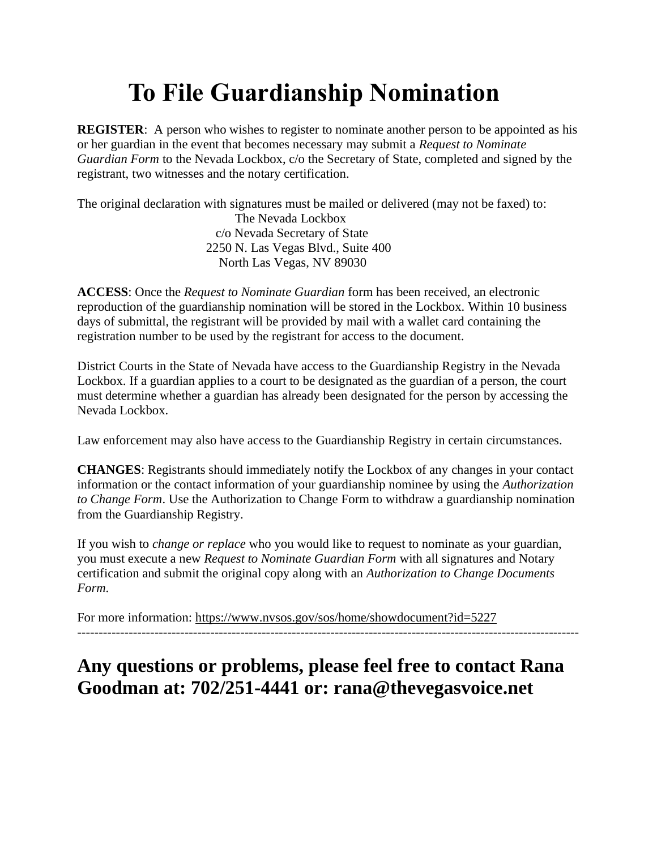# **To File Guardianship Nomination**

**REGISTER:** A person who wishes to register to nominate another person to be appointed as his or her guardian in the event that becomes necessary may submit a *[Request to Nominate](https://www.nvsos.gov/sos/home/showdocument?id=5227)  [Guardian Form](https://www.nvsos.gov/sos/home/showdocument?id=5227)* to the Nevada Lockbox, c/o the Secretary of State, completed and signed by the registrant, two witnesses and the notary certification.

The original declaration with signatures must be mailed or delivered (may not be faxed) to:

 The Nevada Lockbox c/o Nevada Secretary of State 2250 N. Las Vegas Blvd., Suite 400 North Las Vegas, NV 89030

**ACCESS**: Once the *Request to Nominate Guardian* form has been received, an electronic reproduction of the guardianship nomination will be stored in the Lockbox. Within 10 business days of submittal, the registrant will be provided by mail with a wallet card containing the registration number to be used by the registrant for access to the document.

District Courts in the State of Nevada have access to the Guardianship Registry in the Nevada Lockbox. If a guardian applies to a court to be designated as the guardian of a person, the court must determine whether a guardian has already been designated for the person by accessing the Nevada Lockbox.

Law enforcement may also have access to the Guardianship Registry in certain circumstances.

**CHANGES**: Registrants should immediately notify the Lockbox of any changes in your contact information or the contact information of your guardianship nominee by using the *[Authorization](https://www.nvsos.gov/sos/home/showdocument?id=5221)  [to Change Form](https://www.nvsos.gov/sos/home/showdocument?id=5221)*. Use the Authorization to Change Form to withdraw a guardianship nomination from the Guardianship Registry.

If you wish to *change or replace* who you would like to request to nominate as your guardian, you must execute a new *[Request to Nominate Guardian Form](https://www.nvsos.gov/sos/home/showdocument?id=5227)* with all signatures and Notary certification and submit the original copy along with an *[Authorization to Change Documents](https://www.nvsos.gov/sos/home/showdocument?id=5219)  [Form.](https://www.nvsos.gov/sos/home/showdocument?id=5219)*

For more information:<https://www.nvsos.gov/sos/home/showdocument?id=5227>

---------------------------------------------------------------------------------------------------------------------

## **Any questions or problems, please feel free to contact Rana Goodman at: 702/251-4441 or: rana@thevegasvoice.net**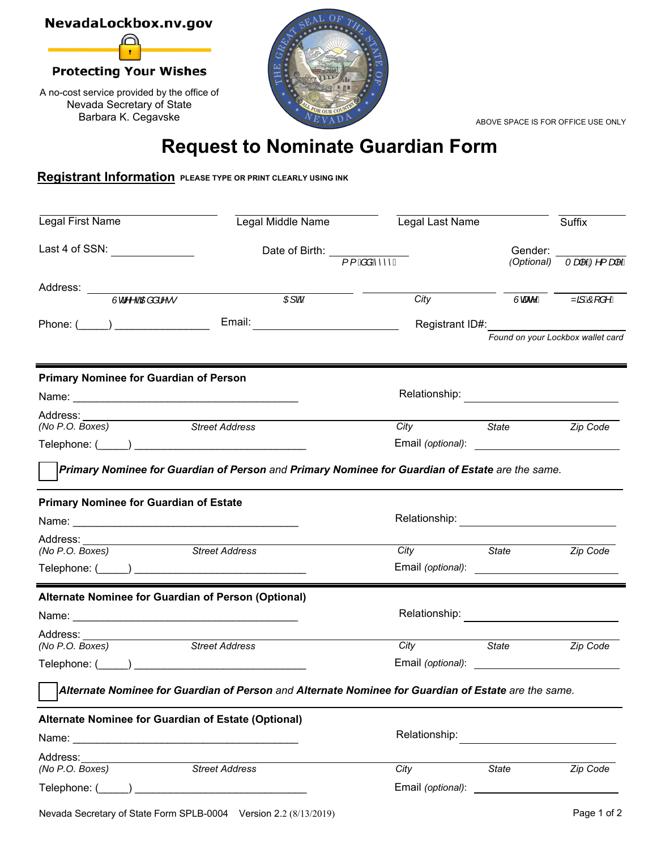

ABOVE SPACE IS FOR OFFICE USE ONLY

# **Request to Nominate Guardian Form**

### **Registrant Information PLEASE TYPE OR PRINT CLEARLY USING INK**

| Legal First Name                                                                                    | Legal Middle Name                                                          | Legal Last Name                                 |                                                                              | Suffix                                 |
|-----------------------------------------------------------------------------------------------------|----------------------------------------------------------------------------|-------------------------------------------------|------------------------------------------------------------------------------|----------------------------------------|
| Last 4 of SSN: _______________                                                                      | Date of Birth: $\frac{1}{\int \int \vec{B} \cdot d\vec{B} \cdot d\vec{B}}$ |                                                 | Gender:<br>(Optional)                                                        | Tap ED <sup>1</sup> {ap <sup>1</sup> / |
|                                                                                                     |                                                                            |                                                 |                                                                              |                                        |
| Address: Ud^^oOneal^^                                                                               | Œ∫roAÑ                                                                     | City                                            | Ùœe^Á                                                                        | Za ÁÖJ å^Á                             |
|                                                                                                     |                                                                            |                                                 |                                                                              |                                        |
| Phone: (_____) ___________________________Email: _______________________________                    |                                                                            |                                                 | Registrant ID#: _______________________<br>Found on your Lockbox wallet card |                                        |
|                                                                                                     |                                                                            |                                                 |                                                                              |                                        |
| <b>Primary Nominee for Guardian of Person</b>                                                       |                                                                            |                                                 |                                                                              |                                        |
|                                                                                                     |                                                                            |                                                 |                                                                              |                                        |
| Address:<br>Address: ____________________<br><i>(No P.O. Boxes)</i>                                 |                                                                            |                                                 |                                                                              |                                        |
| Street Address                                                                                      |                                                                            | <b>City</b>                                     | State State                                                                  | Zip Code                               |
|                                                                                                     |                                                                            | Email (optional): <u>______________________</u> |                                                                              |                                        |
| Primary Nominee for Guardian of Person and Primary Nominee for Guardian of Estate are the same.     |                                                                            |                                                 |                                                                              |                                        |
| <b>Primary Nominee for Guardian of Estate</b>                                                       |                                                                            |                                                 |                                                                              |                                        |
|                                                                                                     |                                                                            |                                                 |                                                                              |                                        |
|                                                                                                     |                                                                            |                                                 |                                                                              |                                        |
| Street Address<br>(No P.O. Boxes)                                                                   |                                                                            | City                                            | <i><b>State</b></i>                                                          | Zip Code                               |
|                                                                                                     |                                                                            |                                                 |                                                                              |                                        |
| Alternate Nominee for Guardian of Person (Optional)                                                 |                                                                            |                                                 |                                                                              |                                        |
|                                                                                                     |                                                                            | Relationship: <u>___________________</u>        |                                                                              |                                        |
| Address: ____________________                                                                       |                                                                            |                                                 |                                                                              |                                        |
| <b>Street Address</b><br>(No P.O. Boxes)                                                            |                                                                            | <b>City</b>                                     | <i><b>State</b></i>                                                          | Zip Code                               |
|                                                                                                     |                                                                            |                                                 |                                                                              |                                        |
| Alternate Nominee for Guardian of Person and Alternate Nominee for Guardian of Estate are the same. |                                                                            |                                                 |                                                                              |                                        |
| Alternate Nominee for Guardian of Estate (Optional)                                                 |                                                                            |                                                 |                                                                              |                                        |
|                                                                                                     |                                                                            | Relationship:                                   |                                                                              |                                        |
|                                                                                                     |                                                                            |                                                 |                                                                              |                                        |
| Address:                                                                                            |                                                                            |                                                 |                                                                              |                                        |
| (No P.O. Boxes)                                                                                     | <b>Street Address</b>                                                      | City                                            | State                                                                        | Zip Code                               |